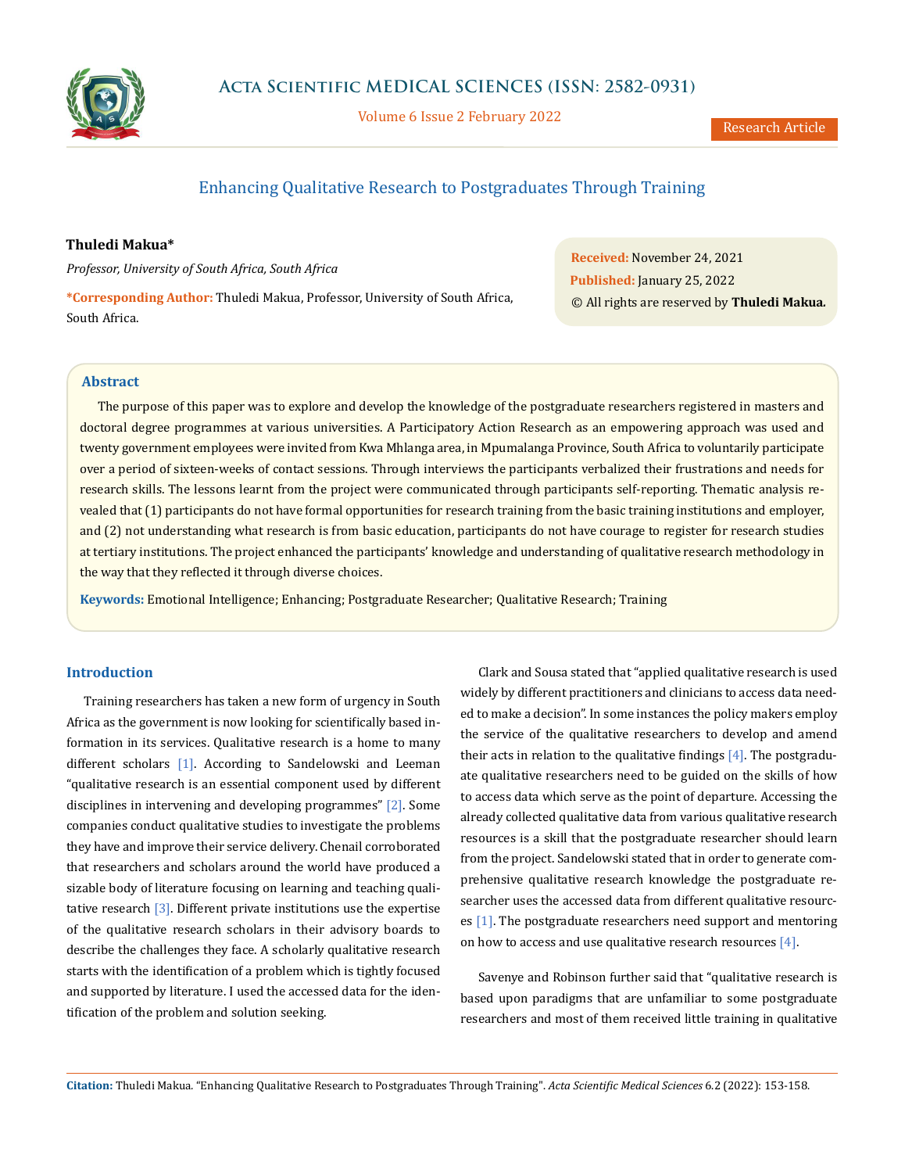

Volume 6 Issue 2 February 2022

# Enhancing Qualitative Research to Postgraduates Through Training

## **Thuledi Makua\***

*Professor, University of South Africa, South Africa*

**\*Corresponding Author:** Thuledi Makua, Professor, University of South Africa, South Africa.

**Received:** November 24, 2021 **Published:** January 25, 2022 © All rights are reserved by **Thuledi Makua***.*

## **Abstract**

The purpose of this paper was to explore and develop the knowledge of the postgraduate researchers registered in masters and doctoral degree programmes at various universities. A Participatory Action Research as an empowering approach was used and twenty government employees were invited from Kwa Mhlanga area, in Mpumalanga Province, South Africa to voluntarily participate over a period of sixteen-weeks of contact sessions. Through interviews the participants verbalized their frustrations and needs for research skills. The lessons learnt from the project were communicated through participants self-reporting. Thematic analysis revealed that (1) participants do not have formal opportunities for research training from the basic training institutions and employer, and (2) not understanding what research is from basic education, participants do not have courage to register for research studies at tertiary institutions. The project enhanced the participants' knowledge and understanding of qualitative research methodology in the way that they reflected it through diverse choices.

**Keywords:** Emotional Intelligence; Enhancing; Postgraduate Researcher; Qualitative Research; Training

## **Introduction**

Training researchers has taken a new form of urgency in South Africa as the government is now looking for scientifically based information in its services. Qualitative research is a home to many different scholars [1]. According to Sandelowski and Leeman "qualitative research is an essential component used by different disciplines in intervening and developing programmes" [2]. Some companies conduct qualitative studies to investigate the problems they have and improve their service delivery. Chenail corroborated that researchers and scholars around the world have produced a sizable body of literature focusing on learning and teaching qualitative research [3]. Different private institutions use the expertise of the qualitative research scholars in their advisory boards to describe the challenges they face. A scholarly qualitative research starts with the identification of a problem which is tightly focused and supported by literature. I used the accessed data for the identification of the problem and solution seeking.

Clark and Sousa stated that "applied qualitative research is used widely by different practitioners and clinicians to access data needed to make a decision". In some instances the policy makers employ the service of the qualitative researchers to develop and amend their acts in relation to the qualitative findings  $[4]$ . The postgraduate qualitative researchers need to be guided on the skills of how to access data which serve as the point of departure. Accessing the already collected qualitative data from various qualitative research resources is a skill that the postgraduate researcher should learn from the project. Sandelowski stated that in order to generate comprehensive qualitative research knowledge the postgraduate researcher uses the accessed data from different qualitative resources [1]. The postgraduate researchers need support and mentoring on how to access and use qualitative research resources  $[4]$ .

Savenye and Robinson further said that "qualitative research is based upon paradigms that are unfamiliar to some postgraduate researchers and most of them received little training in qualitative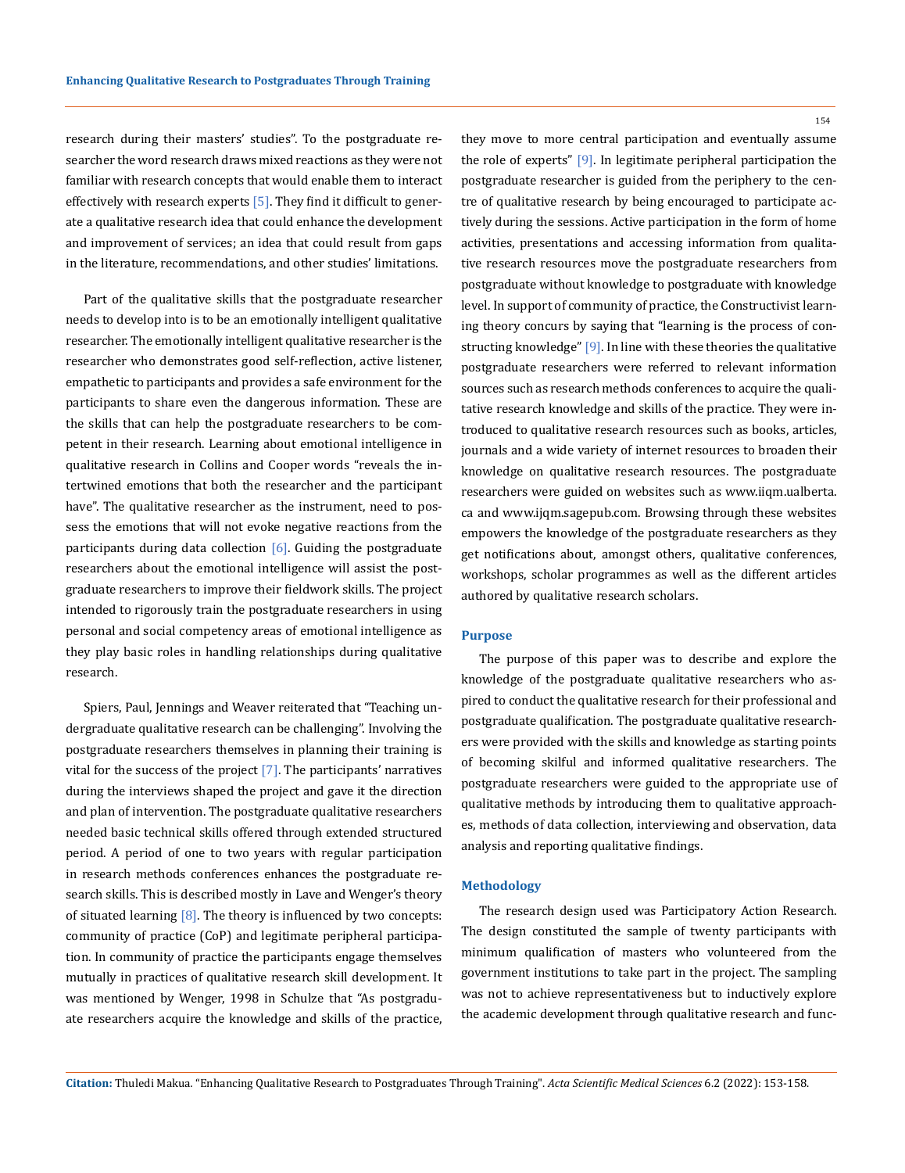research during their masters' studies". To the postgraduate researcher the word research draws mixed reactions as they were not familiar with research concepts that would enable them to interact effectively with research experts  $[5]$ . They find it difficult to generate a qualitative research idea that could enhance the development and improvement of services; an idea that could result from gaps in the literature, recommendations, and other studies' limitations.

Part of the qualitative skills that the postgraduate researcher needs to develop into is to be an emotionally intelligent qualitative researcher. The emotionally intelligent qualitative researcher is the researcher who demonstrates good self-reflection, active listener, empathetic to participants and provides a safe environment for the participants to share even the dangerous information. These are the skills that can help the postgraduate researchers to be competent in their research. Learning about emotional intelligence in qualitative research in Collins and Cooper words "reveals the intertwined emotions that both the researcher and the participant have". The qualitative researcher as the instrument, need to possess the emotions that will not evoke negative reactions from the participants during data collection  $[6]$ . Guiding the postgraduate researchers about the emotional intelligence will assist the postgraduate researchers to improve their fieldwork skills. The project intended to rigorously train the postgraduate researchers in using personal and social competency areas of emotional intelligence as they play basic roles in handling relationships during qualitative research.

Spiers, Paul, Jennings and Weaver reiterated that "Teaching undergraduate qualitative research can be challenging". Involving the postgraduate researchers themselves in planning their training is vital for the success of the project  $[7]$ . The participants' narratives during the interviews shaped the project and gave it the direction and plan of intervention. The postgraduate qualitative researchers needed basic technical skills offered through extended structured period. A period of one to two years with regular participation in research methods conferences enhances the postgraduate research skills. This is described mostly in Lave and Wenger's theory of situated learning  $[8]$ . The theory is influenced by two concepts: community of practice (CoP) and legitimate peripheral participation. In community of practice the participants engage themselves mutually in practices of qualitative research skill development. It was mentioned by Wenger, 1998 in Schulze that "As postgraduate researchers acquire the knowledge and skills of the practice, 154

they move to more central participation and eventually assume the role of experts" [9]. In legitimate peripheral participation the postgraduate researcher is guided from the periphery to the centre of qualitative research by being encouraged to participate actively during the sessions. Active participation in the form of home activities, presentations and accessing information from qualitative research resources move the postgraduate researchers from postgraduate without knowledge to postgraduate with knowledge level. In support of community of practice, the Constructivist learning theory concurs by saying that "learning is the process of constructing knowledge" [9]. In line with these theories the qualitative postgraduate researchers were referred to relevant information sources such as research methods conferences to acquire the qualitative research knowledge and skills of the practice. They were introduced to qualitative research resources such as books, articles, journals and a wide variety of internet resources to broaden their knowledge on qualitative research resources. The postgraduate researchers were guided on websites such as www.iiqm.ualberta. ca and www.ijqm.sagepub.com. Browsing through these websites empowers the knowledge of the postgraduate researchers as they get notifications about, amongst others, qualitative conferences, workshops, scholar programmes as well as the different articles authored by qualitative research scholars.

### **Purpose**

The purpose of this paper was to describe and explore the knowledge of the postgraduate qualitative researchers who aspired to conduct the qualitative research for their professional and postgraduate qualification. The postgraduate qualitative researchers were provided with the skills and knowledge as starting points of becoming skilful and informed qualitative researchers. The postgraduate researchers were guided to the appropriate use of qualitative methods by introducing them to qualitative approaches, methods of data collection, interviewing and observation, data analysis and reporting qualitative findings.

### **Methodology**

The research design used was Participatory Action Research. The design constituted the sample of twenty participants with minimum qualification of masters who volunteered from the government institutions to take part in the project. The sampling was not to achieve representativeness but to inductively explore the academic development through qualitative research and func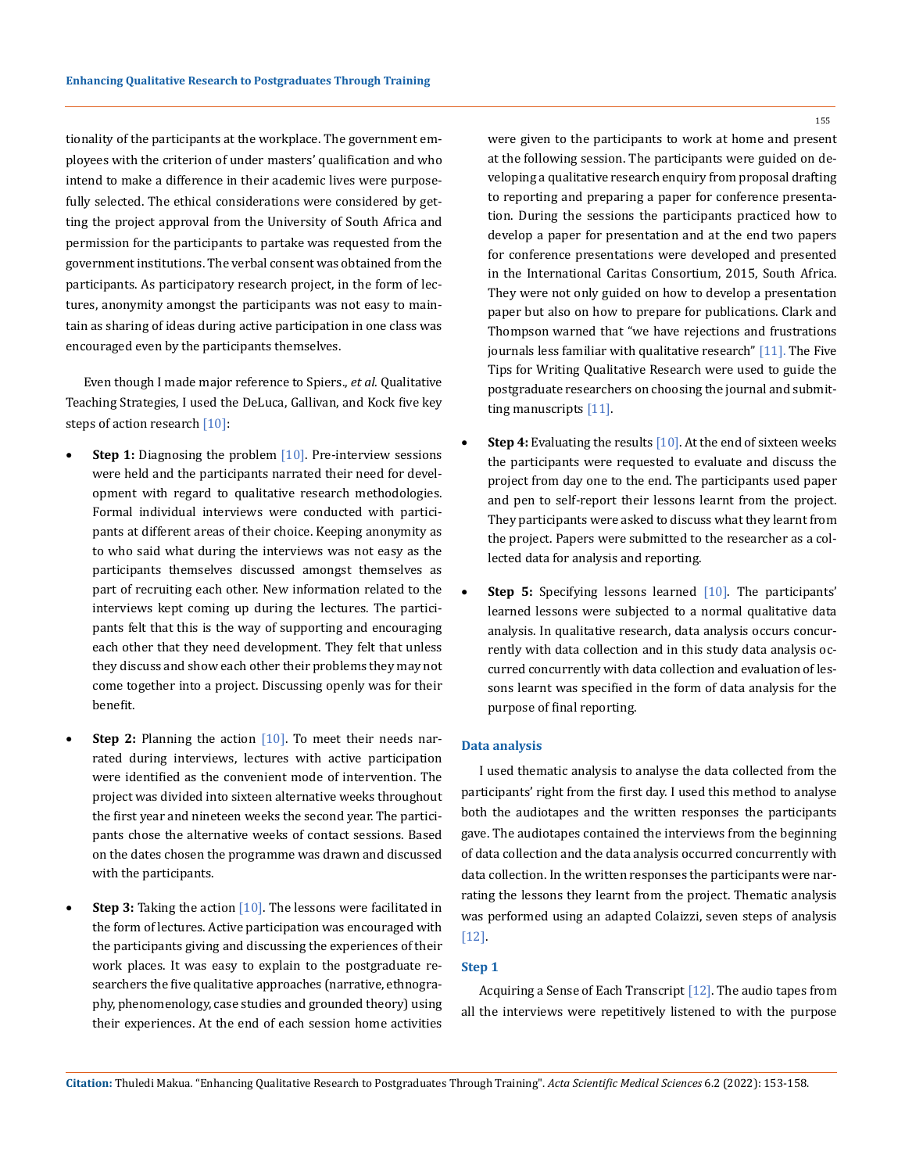tionality of the participants at the workplace. The government employees with the criterion of under masters' qualification and who intend to make a difference in their academic lives were purposefully selected. The ethical considerations were considered by getting the project approval from the University of South Africa and permission for the participants to partake was requested from the government institutions. The verbal consent was obtained from the participants. As participatory research project, in the form of lectures, anonymity amongst the participants was not easy to maintain as sharing of ideas during active participation in one class was encouraged even by the participants themselves.

Even though I made major reference to Spiers., *et al*. Qualitative Teaching Strategies, I used the DeLuca, Gallivan, and Kock five key steps of action research [10]:

- **Step 1:** Diagnosing the problem [10]. Pre-interview sessions were held and the participants narrated their need for development with regard to qualitative research methodologies. Formal individual interviews were conducted with participants at different areas of their choice. Keeping anonymity as to who said what during the interviews was not easy as the participants themselves discussed amongst themselves as part of recruiting each other. New information related to the interviews kept coming up during the lectures. The participants felt that this is the way of supporting and encouraging each other that they need development. They felt that unless they discuss and show each other their problems they may not come together into a project. Discussing openly was for their benefit.
- **Step 2:** Planning the action [10]. To meet their needs narrated during interviews, lectures with active participation were identified as the convenient mode of intervention. The project was divided into sixteen alternative weeks throughout the first year and nineteen weeks the second year. The participants chose the alternative weeks of contact sessions. Based on the dates chosen the programme was drawn and discussed with the participants.
- **Step 3:** Taking the action [10]. The lessons were facilitated in the form of lectures. Active participation was encouraged with the participants giving and discussing the experiences of their work places. It was easy to explain to the postgraduate researchers the five qualitative approaches (narrative, ethnography, phenomenology, case studies and grounded theory) using their experiences. At the end of each session home activities

were given to the participants to work at home and present at the following session. The participants were guided on developing a qualitative research enquiry from proposal drafting to reporting and preparing a paper for conference presentation. During the sessions the participants practiced how to develop a paper for presentation and at the end two papers for conference presentations were developed and presented in the International Caritas Consortium, 2015, South Africa. They were not only guided on how to develop a presentation paper but also on how to prepare for publications. Clark and Thompson warned that "we have rejections and frustrations journals less familiar with qualitative research" [11]. The Five Tips for Writing Qualitative Research were used to guide the postgraduate researchers on choosing the journal and submitting manuscripts [11].

- **Step 4:** Evaluating the results [10]. At the end of sixteen weeks the participants were requested to evaluate and discuss the project from day one to the end. The participants used paper and pen to self-report their lessons learnt from the project. They participants were asked to discuss what they learnt from the project. Papers were submitted to the researcher as a collected data for analysis and reporting.
- **Step 5:** Specifying lessons learned [10]. The participants' learned lessons were subjected to a normal qualitative data analysis. In qualitative research, data analysis occurs concurrently with data collection and in this study data analysis occurred concurrently with data collection and evaluation of lessons learnt was specified in the form of data analysis for the purpose of final reporting.

#### **Data analysis**

I used thematic analysis to analyse the data collected from the participants' right from the first day. I used this method to analyse both the audiotapes and the written responses the participants gave. The audiotapes contained the interviews from the beginning of data collection and the data analysis occurred concurrently with data collection. In the written responses the participants were narrating the lessons they learnt from the project. Thematic analysis was performed using an adapted Colaizzi, seven steps of analysis [12].

## **Step 1**

Acquiring a Sense of Each Transcript [12]. The audio tapes from all the interviews were repetitively listened to with the purpose

#### 155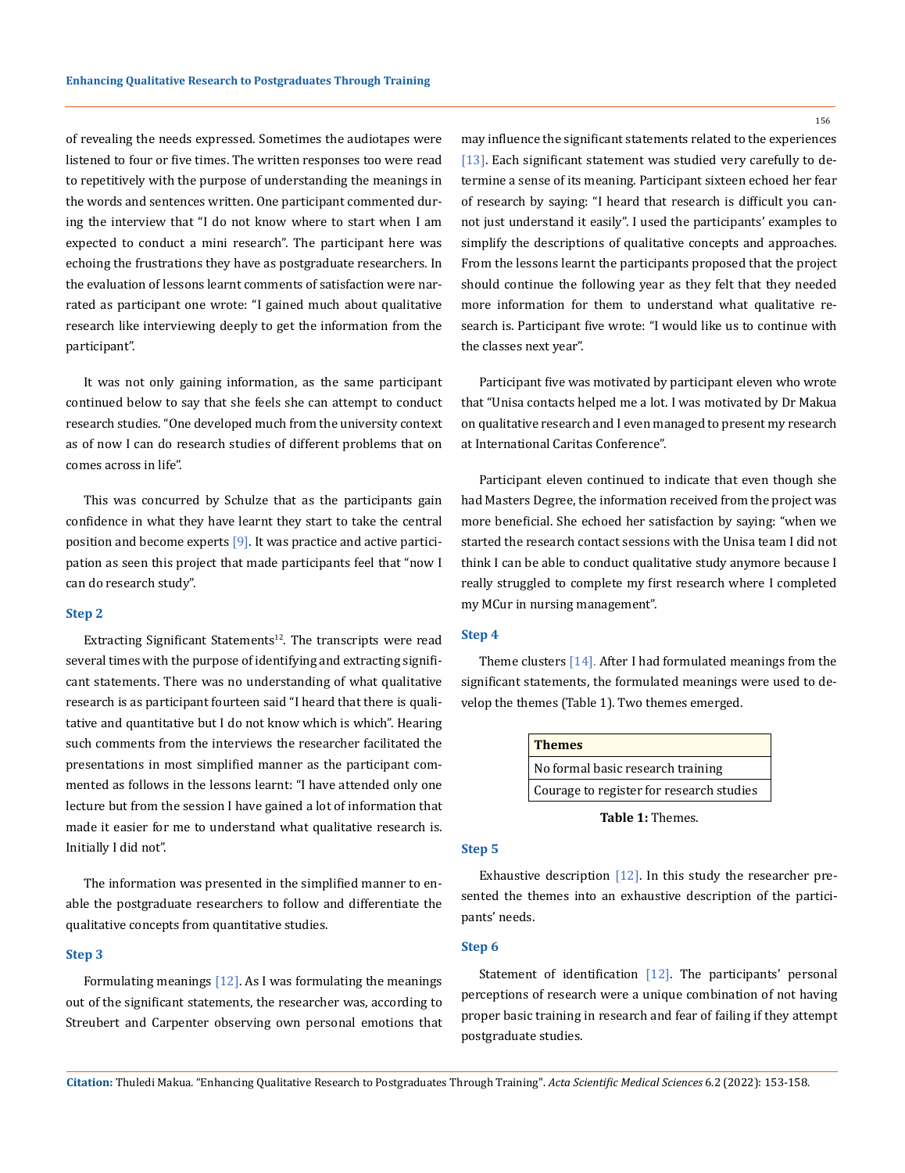of revealing the needs expressed. Sometimes the audiotapes were listened to four or five times. The written responses too were read to repetitively with the purpose of understanding the meanings in the words and sentences written. One participant commented during the interview that "I do not know where to start when I am expected to conduct a mini research". The participant here was echoing the frustrations they have as postgraduate researchers. In the evaluation of lessons learnt comments of satisfaction were narrated as participant one wrote: "I gained much about qualitative research like interviewing deeply to get the information from the participant".

It was not only gaining information, as the same participant continued below to say that she feels she can attempt to conduct research studies. "One developed much from the university context as of now I can do research studies of different problems that on comes across in life".

This was concurred by Schulze that as the participants gain confidence in what they have learnt they start to take the central position and become experts [9]. It was practice and active participation as seen this project that made participants feel that "now I can do research study".

### **Step 2**

Extracting Significant Statements<sup>12</sup>. The transcripts were read several times with the purpose of identifying and extracting significant statements. There was no understanding of what qualitative research is as participant fourteen said "I heard that there is qualitative and quantitative but I do not know which is which". Hearing such comments from the interviews the researcher facilitated the presentations in most simplified manner as the participant commented as follows in the lessons learnt: "I have attended only one lecture but from the session I have gained a lot of information that made it easier for me to understand what qualitative research is. Initially I did not".

The information was presented in the simplified manner to enable the postgraduate researchers to follow and differentiate the qualitative concepts from quantitative studies.

### **Step 3**

Formulating meanings  $[12]$ . As I was formulating the meanings out of the significant statements, the researcher was, according to Streubert and Carpenter observing own personal emotions that may influence the significant statements related to the experiences [13]. Each significant statement was studied very carefully to determine a sense of its meaning. Participant sixteen echoed her fear of research by saying: "I heard that research is difficult you cannot just understand it easily". I used the participants' examples to simplify the descriptions of qualitative concepts and approaches. From the lessons learnt the participants proposed that the project should continue the following year as they felt that they needed more information for them to understand what qualitative research is. Participant five wrote: "I would like us to continue with the classes next year".

Participant five was motivated by participant eleven who wrote that "Unisa contacts helped me a lot. I was motivated by Dr Makua on qualitative research and I even managed to present my research at International Caritas Conference".

Participant eleven continued to indicate that even though she had Masters Degree, the information received from the project was more beneficial. She echoed her satisfaction by saying: "when we started the research contact sessions with the Unisa team I did not think I can be able to conduct qualitative study anymore because I really struggled to complete my first research where I completed my MCur in nursing management".

## **Step 4**

Theme clusters [14]. After I had formulated meanings from the significant statements, the formulated meanings were used to develop the themes (Table 1). Two themes emerged.

| <b>Themes</b>                            |
|------------------------------------------|
| No formal basic research training        |
| Courage to register for research studies |

**Table 1:** Themes.

### **Step 5**

Exhaustive description [12]. In this study the researcher presented the themes into an exhaustive description of the participants' needs.

### **Step 6**

Statement of identification  $[12]$ . The participants' personal perceptions of research were a unique combination of not having proper basic training in research and fear of failing if they attempt postgraduate studies.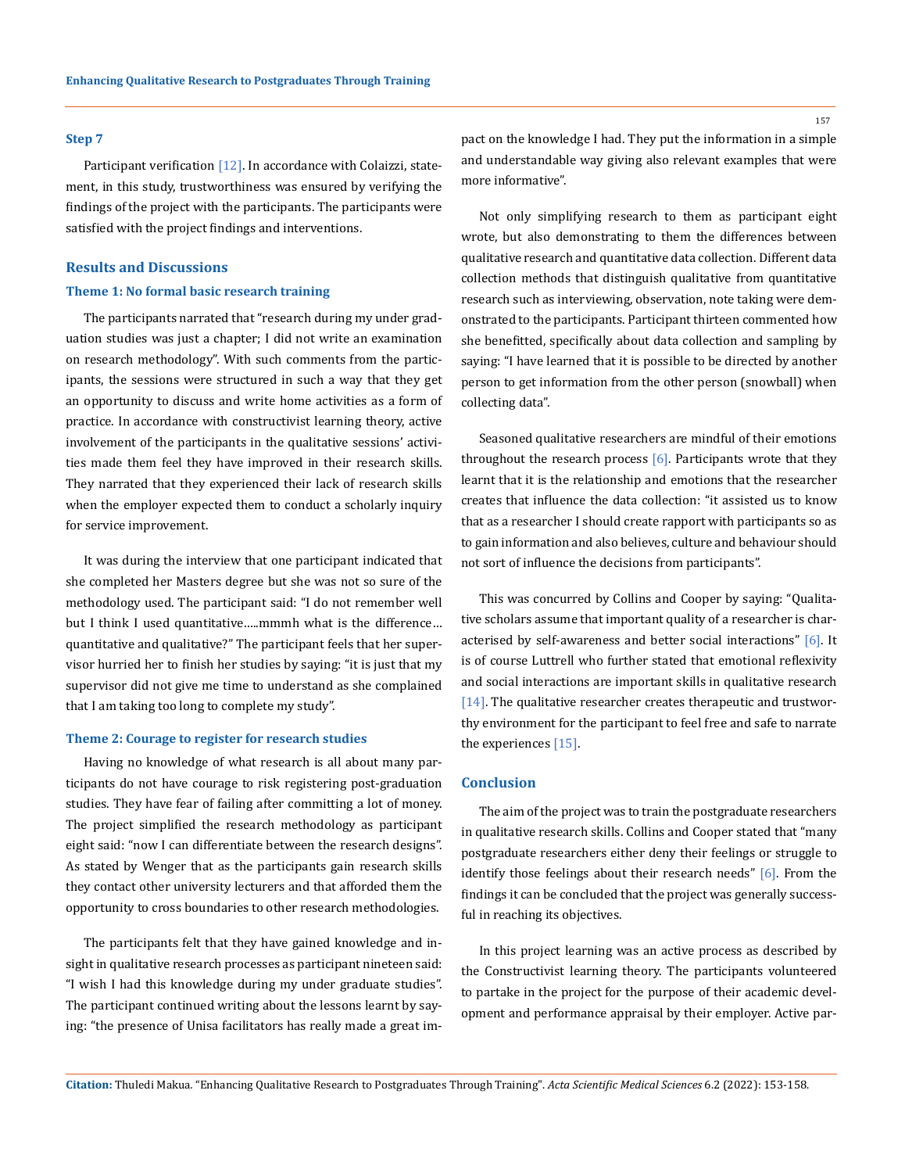#### **Step 7**

Participant verification [12]. In accordance with Colaizzi, statement, in this study, trustworthiness was ensured by verifying the findings of the project with the participants. The participants were satisfied with the project findings and interventions.

## **Results and Discussions**

## **Theme 1: No formal basic research training**

The participants narrated that "research during my under graduation studies was just a chapter; I did not write an examination on research methodology". With such comments from the participants, the sessions were structured in such a way that they get an opportunity to discuss and write home activities as a form of practice. In accordance with constructivist learning theory, active involvement of the participants in the qualitative sessions' activities made them feel they have improved in their research skills. They narrated that they experienced their lack of research skills when the employer expected them to conduct a scholarly inquiry for service improvement.

It was during the interview that one participant indicated that she completed her Masters degree but she was not so sure of the methodology used. The participant said: "I do not remember well but I think I used quantitative…..mmmh what is the difference… quantitative and qualitative?" The participant feels that her supervisor hurried her to finish her studies by saying: "it is just that my supervisor did not give me time to understand as she complained that I am taking too long to complete my study".

#### **Theme 2: Courage to register for research studies**

Having no knowledge of what research is all about many participants do not have courage to risk registering post-graduation studies. They have fear of failing after committing a lot of money. The project simplified the research methodology as participant eight said: "now I can differentiate between the research designs". As stated by Wenger that as the participants gain research skills they contact other university lecturers and that afforded them the opportunity to cross boundaries to other research methodologies.

The participants felt that they have gained knowledge and insight in qualitative research processes as participant nineteen said: "I wish I had this knowledge during my under graduate studies". The participant continued writing about the lessons learnt by saying: "the presence of Unisa facilitators has really made a great impact on the knowledge I had. They put the information in a simple and understandable way giving also relevant examples that were more informative".

Not only simplifying research to them as participant eight wrote, but also demonstrating to them the differences between qualitative research and quantitative data collection. Different data collection methods that distinguish qualitative from quantitative research such as interviewing, observation, note taking were demonstrated to the participants. Participant thirteen commented how she benefitted, specifically about data collection and sampling by saying: "I have learned that it is possible to be directed by another person to get information from the other person (snowball) when collecting data".

Seasoned qualitative researchers are mindful of their emotions throughout the research process  $[6]$ . Participants wrote that they learnt that it is the relationship and emotions that the researcher creates that influence the data collection: "it assisted us to know that as a researcher I should create rapport with participants so as to gain information and also believes, culture and behaviour should not sort of influence the decisions from participants".

This was concurred by Collins and Cooper by saying: "Qualitative scholars assume that important quality of a researcher is characterised by self-awareness and better social interactions" [6]. It is of course Luttrell who further stated that emotional reflexivity and social interactions are important skills in qualitative research [14]. The qualitative researcher creates therapeutic and trustworthy environment for the participant to feel free and safe to narrate the experiences [15].

## **Conclusion**

The aim of the project was to train the postgraduate researchers in qualitative research skills. Collins and Cooper stated that "many postgraduate researchers either deny their feelings or struggle to identify those feelings about their research needs" [6]. From the findings it can be concluded that the project was generally successful in reaching its objectives.

In this project learning was an active process as described by the Constructivist learning theory. The participants volunteered to partake in the project for the purpose of their academic development and performance appraisal by their employer. Active par